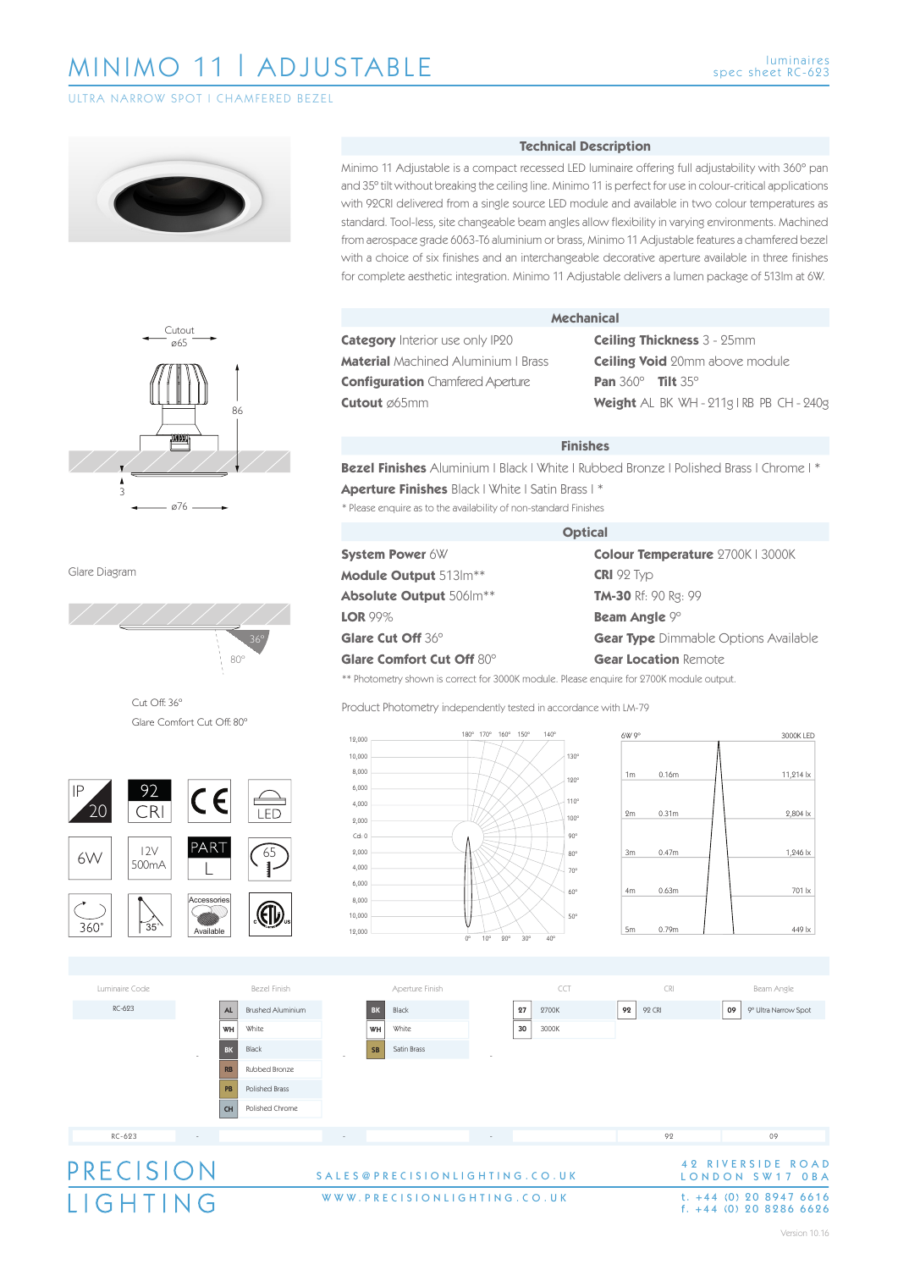**ULTRA NARROW SPOT LCHAMFERED BEZEL** 





Glare Diagram



Cut Off: 36º Glare Comfort Cut Off: 80º





#### **Technical Description**

Minimo 11 Adjustable is a compact recessed LED luminaire offering full adjustability with 360º pan and 35º tilt without breaking the ceiling line. Minimo 11 is perfect for use in colour-critical applications with 92CRI delivered from a single source LED module and available in two colour temperatures as standard. Tool-less, site changeable beam angles allow flexibility in varying environments. Machined from aerospace grade 6063-T6 aluminium or brass, Minimo 11 Adjustable features a chamfered bezel with a choice of six finishes and an interchangeable decorative aperture available in three finishes for complete aesthetic integration. Minimo 11 Adjustable delivers a lumen package of 513lm at 6W.

## **Category** Interior use only IP20 **Material** Machined Aluminium | Brass **Configuration** Chamfered Aperture

#### **Mechanical**

**Ceiling Thickness** 3 - 25mm **Ceiling Void** 20mm above module **Pan** 360º **Tilt** 35º **Weight** AL BK WH - 211g | RB PB CH - 240g

### **Finishes**

\* Please enquire as to the availability of non-standard Finishes **Bezel Finishes** Aluminium | Black | White | Rubbed Bronze | Polished Brass | Chrome | \* **Aperture Finishes** Black | White | Satin Brass | \*

#### **Optical**

**System Power** 6W **Module Output** 513lm\*\* **Absolute Output** 506lm\*\* **LOR** 99% **Glare Cut Off** 36º **Glare Comfort Cut Off** 80º

**Colour Temperature** 2700K | 3000K **CRI** 92 Typ **TM-30** Rf: 90 Rg: 99 **Beam Angle** 9º **Gear Type** Dimmable Options Available **Gear Location** Remote

\*\* Photometry shown is correct for 3000K module. Please enquire for 2700K module output.

Product Photometry independently tested in accordance with LM-79







WWW.PRECISIONLIGHTING.CO.UK

# t.  $+44$  (0) 20 8947 6616<br>f.  $+44$  (0) 20 8286 6626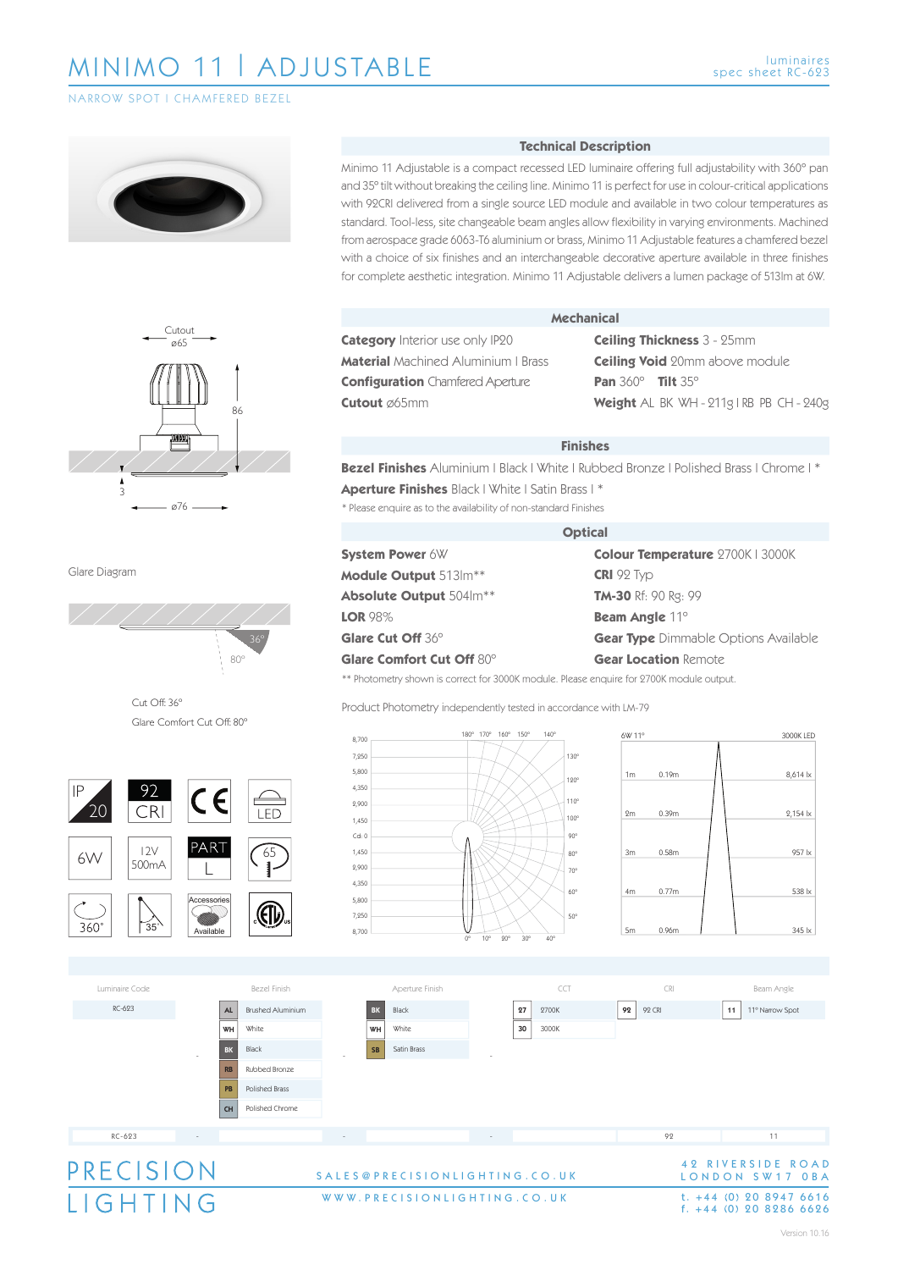NARROW SPOT | CHAMFERED BEZEL





Glare Diagram



Cut Off: 36º Glare Comfort Cut Off: 80º



### **Technical Description**

Minimo 11 Adjustable is a compact recessed LED luminaire offering full adjustability with 360º pan and 35º tilt without breaking the ceiling line. Minimo 11 is perfect for use in colour-critical applications with 92CRI delivered from a single source LED module and available in two colour temperatures as standard. Tool-less, site changeable beam angles allow flexibility in varying environments. Machined from aerospace grade 6063-T6 aluminium or brass, Minimo 11 Adjustable features a chamfered bezel with a choice of six finishes and an interchangeable decorative aperture available in three finishes for complete aesthetic integration. Minimo 11 Adjustable delivers a lumen package of 513lm at 6W.

**Category** Interior use only IP20 **Material** Machined Aluminium | Brass **Configuration** Chamfered Aperture **Cutout** ø65mm

#### **Mechanical**

**Ceiling Thickness** 3 - 25mm **Ceiling Void** 20mm above module **Pan** 360º **Tilt** 35º **Weight** AL BK WH - 211g | RB PB CH - 240g

### **Finishes**

\* Please enquire as to the availability of non-standard Finishes **Bezel Finishes** Aluminium | Black | White | Rubbed Bronze | Polished Brass | Chrome | \* **Aperture Finishes** Black | White | Satin Brass | \*

#### **Optical**

**System Power** 6W **Module Output** 513lm\*\* **Absolute Output** 504lm\*\* **LOR** 98% **Glare Cut Off** 36º **Glare Comfort Cut Off** 80º

**Colour Temperature** 2700K | 3000K **CRI** 92 Typ **TM-30** Rf: 90 Rg: 99 **Beam Angle** 11º **Gear Type** Dimmable Options Available **Gear Location** Remote

\*\* Photometry shown is correct for 3000K module. Please enquire for 2700K module output.

Product Photometry independently tested in accordance with LM-79







WWW.PRECISIONLIGHTING.CO.UK

# t.  $+44$  (0) 20 8947 6616<br>f.  $+44$  (0) 20 8286 6626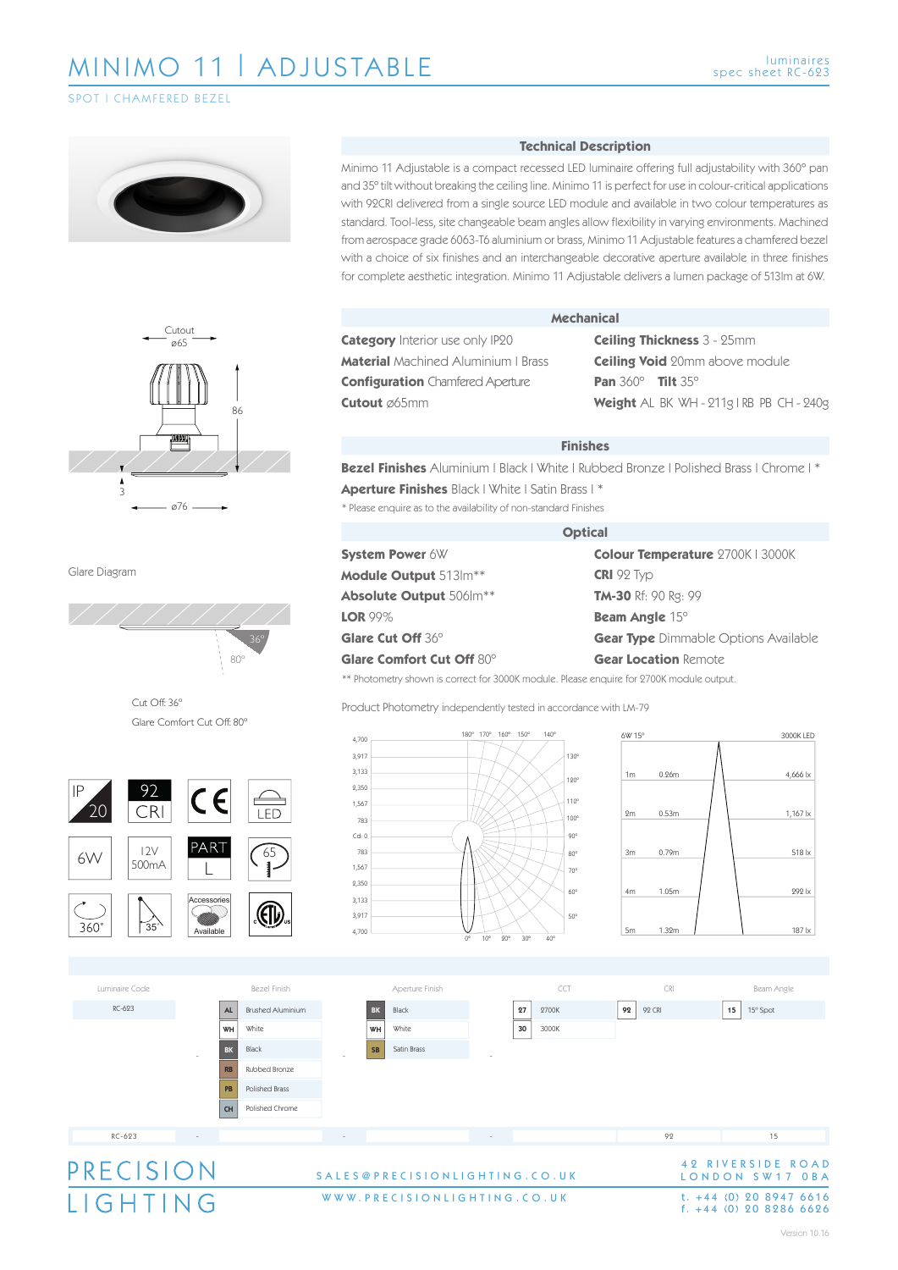### SPOT I CHAMFERED BEZE





Glare Diagram



Cut Off: 36º Glare Comfort Cut Off: 80º



#### **Technical Description**

Minimo 11 Adjustable is a compact recessed LED luminaire offering full adjustability with 360º pan and 35º tilt without breaking the ceiling line. Minimo 11 is perfect for use in colour-critical applications with 92CRI delivered from a single source LED module and available in two colour temperatures as standard. Tool-less, site changeable beam angles allow flexibility in varying environments. Machined from aerospace grade 6063-T6 aluminium or brass, Minimo 11 Adjustable features a chamfered bezel with a choice of six finishes and an interchangeable decorative aperture available in three finishes for complete aesthetic integration. Minimo 11 Adjustable delivers a lumen package of 513lm at 6W.

**Category** Interior use only IP20 **Material** Machined Aluminium | Brass **Configuration** Chamfered Aperture **Cutout** ø65mm

#### **Mechanical**

**Ceiling Thickness** 3 - 25mm **Ceiling Void** 20mm above module **Pan** 360º **Tilt** 35º **Weight** AL BK WH - 211g | RB PB CH - 240g

#### **Finishes**

\* Please enquire as to the availability of non-standard Finishes **Bezel Finishes** Aluminium | Black | White | Rubbed Bronze | Polished Brass | Chrome | \* **Aperture Finishes** Black | White | Satin Brass | \*

#### **Optical**

**System Power** 6W **Module Output** 513lm\*\* **Absolute Output** 506lm\*\* **LOR** 99% **Glare Cut Off** 36º **Glare Comfort Cut Off** 80º

**Colour Temperature** 2700K | 3000K **CRI** 92 Typ **TM-30** Rf: 90 Rg: 99 **Beam Angle** 15º **Gear Type** Dimmable Options Available **Gear Location** Remote

\*\* Photometry shown is correct for 3000K module. Please enquire for 2700K module output.

Product Photometry independently tested in accordance with LM-79





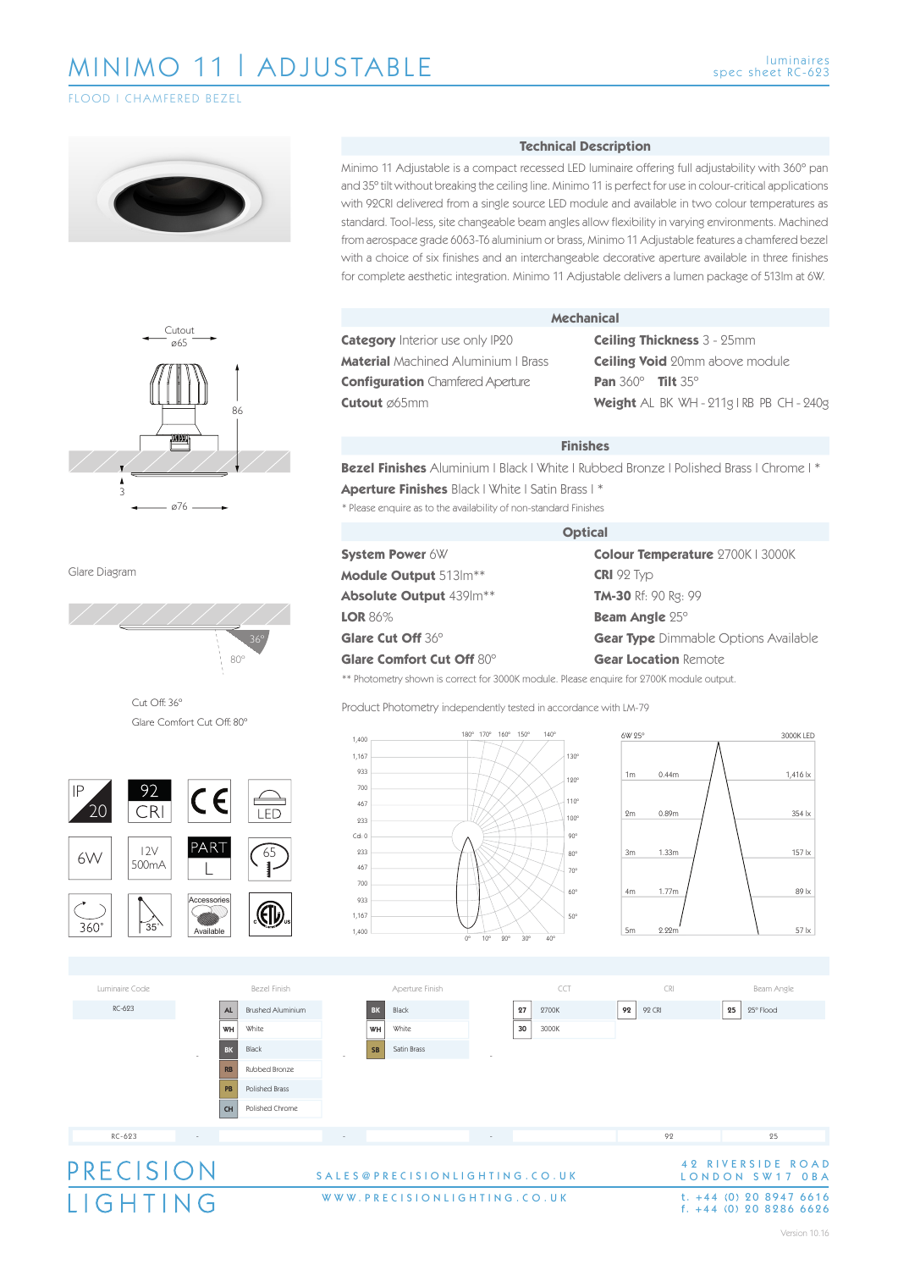### FLOOD | CHAMFERED BEZEL





Glare Diagram



Cut Off: 36º Glare Comfort Cut Off: 80º









Minimo 11 Adjustable is a compact recessed LED luminaire offering full adjustability with 360º pan and 35º tilt without breaking the ceiling line. Minimo 11 is perfect for use in colour-critical applications with 92CRI delivered from a single source LED module and available in two colour temperatures as standard. Tool-less, site changeable beam angles allow flexibility in varying environments. Machined from aerospace grade 6063-T6 aluminium or brass, Minimo 11 Adjustable features a chamfered bezel with a choice of six finishes and an interchangeable decorative aperture available in three finishes for complete aesthetic integration. Minimo 11 Adjustable delivers a lumen package of 513lm at 6W.

**Technical Description**

**Mechanical**

### **Category** Interior use only IP20 **Material** Machined Aluminium | Brass **Configuration** Chamfered Aperture **Cutout** ø65mm

**System Power** 6W **Module Output** 513lm\*\* **Absolute Output** 439lm\*\*

**Glare Cut Off** 36º

**LOR** 86%

**Ceiling Thickness** 3 - 25mm **Ceiling Void** 20mm above module **Pan** 360º **Tilt** 35º **Weight** AL BK WH - 211g | RB PB CH - 240g

#### **Finishes**

\* Please enquire as to the availability of non-standard Finishes **Bezel Finishes** Aluminium | Black | White | Rubbed Bronze | Polished Brass | Chrome | \* **Aperture Finishes** Black | White | Satin Brass | \*

#### **Optical**

**Colour Temperature** 2700K | 3000K **CRI** 92 Typ **TM-30** Rf: 90 Rg: 99 **Beam Angle** 25º **Gear Type** Dimmable Options Available **Gear Location** Remote

\*\* Photometry shown is correct for 3000K module. Please enquire for 2700K module output.

Product Photometry independently tested in accordance with LM-79

180º 170º 160º 150º 140º